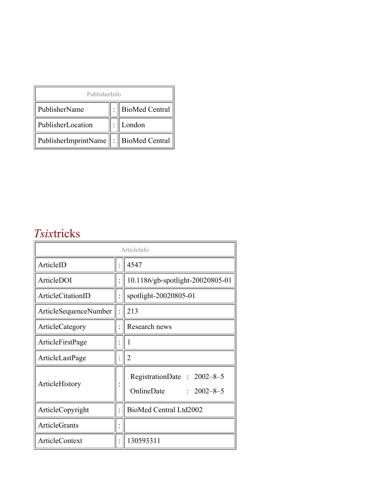| PublisherInfo                              |  |                    |  |  |
|--------------------------------------------|--|--------------------|--|--|
| PublisherName                              |  | :   BioMed Central |  |  |
| PublisherLocation                          |  | London             |  |  |
| PublisherImprintName   :    BioMed Central |  |                    |  |  |

## *Tsix*tricks

| ArticleInfo           |  |                                                              |
|-----------------------|--|--------------------------------------------------------------|
| ArticleID             |  | 4547                                                         |
| ArticleDOI            |  | 10.1186/gb-spotlight-20020805-01                             |
| ArticleCitationID     |  | spotlight-20020805-01                                        |
| ArticleSequenceNumber |  | 213                                                          |
| ArticleCategory       |  | Research news                                                |
| ArticleFirstPage      |  |                                                              |
| ArticleLastPage       |  | 2                                                            |
| ArticleHistory        |  | RegistrationDate: 2002-8-5<br>OnlineDate<br>$: 2002 - 8 - 5$ |
| ArticleCopyright      |  | BioMed Central Ltd2002                                       |
| <b>ArticleGrants</b>  |  |                                                              |
| <b>ArticleContext</b> |  | 130593311                                                    |